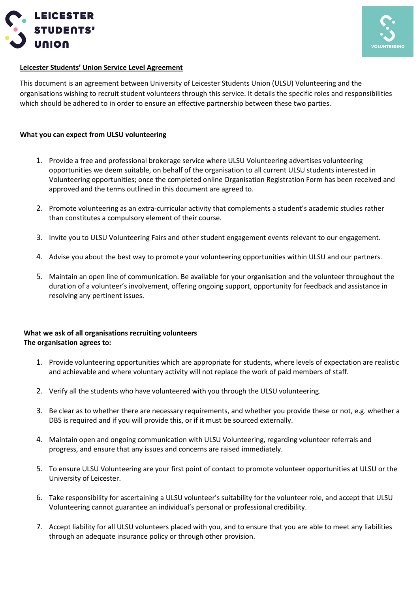



## **Leicester Students' Union Service Level Agreement**

This document is an agreement between University of Leicester Students Union (ULSU) Volunteering and the organisations wishing to recruit student volunteers through this service. It details the specific roles and responsibilities which should be adhered to in order to ensure an effective partnership between these two parties.

## **What you can expect from ULSU volunteering**

- 1. Provide a free and professional brokerage service where ULSU Volunteering advertises volunteering opportunities we deem suitable, on behalf of the organisation to all current ULSU students interested in Volunteering opportunities; once the completed online Organisation Registration Form has been received and approved and the terms outlined in this document are agreed to.
- 2. Promote volunteering as an extra-curricular activity that complements a student's academic studies rather than constitutes a compulsory element of their course.
- 3. Invite you to ULSU Volunteering Fairs and other student engagement events relevant to our engagement.
- 4. Advise you about the best way to promote your volunteering opportunities within ULSU and our partners.
- 5. Maintain an open line of communication. Be available for your organisation and the volunteer throughout the duration of a volunteer's involvement, offering ongoing support, opportunity for feedback and assistance in resolving any pertinent issues.

## **What we ask of all organisations recruiting volunteers The organisation agrees to:**

- 1. Provide volunteering opportunities which are appropriate for students, where levels of expectation are realistic and achievable and where voluntary activity will not replace the work of paid members of staff.
- 2. Verify all the students who have volunteered with you through the ULSU volunteering.
- 3. Be clear as to whether there are necessary requirements, and whether you provide these or not, e.g. whether a DBS is required and if you will provide this, or if it must be sourced externally.
- 4. Maintain open and ongoing communication with ULSU Volunteering, regarding volunteer referrals and progress, and ensure that any issues and concerns are raised immediately.
- 5. To ensure ULSU Volunteering are your first point of contact to promote volunteer opportunities at ULSU or the University of Leicester.
- 6. Take responsibility for ascertaining a ULSU volunteer's suitability for the volunteer role, and accept that ULSU Volunteering cannot guarantee an individual's personal or professional credibility.
- 7. Accept liability for all ULSU volunteers placed with you, and to ensure that you are able to meet any liabilities through an adequate insurance policy or through other provision.